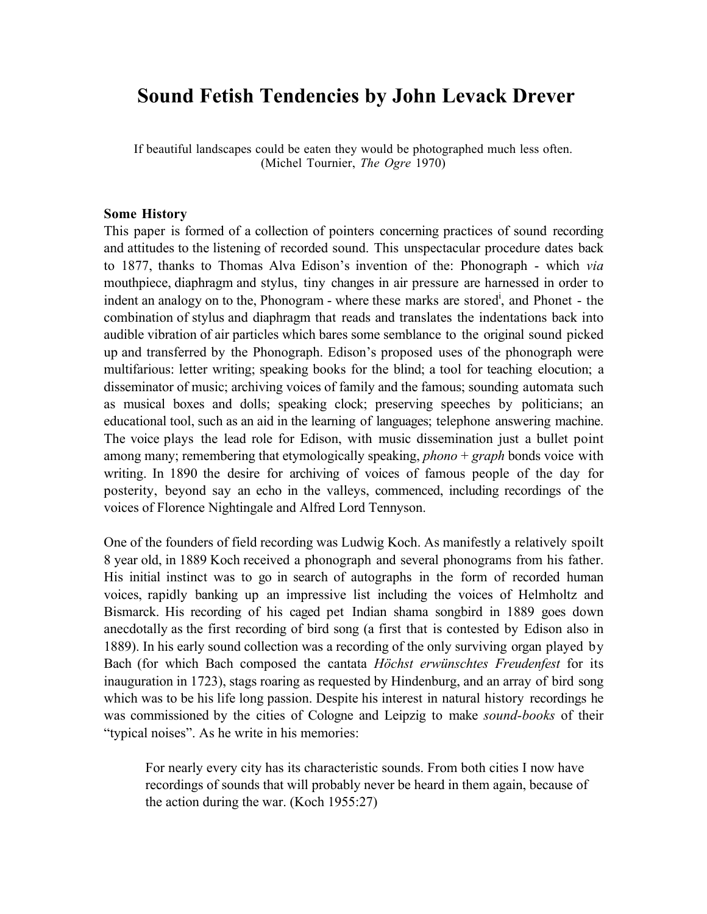# **Sound Fetish Tendencies by John Levack Drever**

If beautiful landscapes could be eaten they would be photographed much less often. (Michel Tournier, *The Ogre* 1970)

#### **Some History**

This paper is formed of a collection of pointers concerning practices of sound recording and attitudes to the listening of recorded sound. This unspectacular procedure dates back to 1877, thanks to Thomas Alva Edison's invention of the: Phonograph - which *via* mouthpiece, diaphragm and stylus, tiny changes in air pressure are harnessed in order to indent an analogy on to the, Phonogram - where these marks are stored<sup>i</sup>, and Phonet - the combination of stylus and diaphragm that reads and translates the indentations back into audible vibration of air particles which bares some semblance to the original sound picked up and transferred by the Phonograph. Edison's proposed uses of the phonograph were multifarious: letter writing; speaking books for the blind; a tool for teaching elocution; a disseminator of music; archiving voices of family and the famous; sounding automata such as musical boxes and dolls; speaking clock; preserving speeches by politicians; an educational tool, such as an aid in the learning of languages; telephone answering machine. The voice plays the lead role for Edison, with music dissemination just a bullet point among many; remembering that etymologically speaking, *phono* + *graph* bonds voice with writing. In 1890 the desire for archiving of voices of famous people of the day for posterity, beyond say an echo in the valleys, commenced, including recordings of the voices of Florence Nightingale and Alfred Lord Tennyson.

One of the founders of field recording was Ludwig Koch. As manifestly a relatively spoilt 8 year old, in 1889 Koch received a phonograph and several phonograms from his father. His initial instinct was to go in search of autographs in the form of recorded human voices, rapidly banking up an impressive list including the voices of Helmholtz and Bismarck. His recording of his caged pet Indian shama songbird in 1889 goes down anecdotally as the first recording of bird song (a first that is contested by Edison also in 1889). In his early sound collection was a recording of the only surviving organ played by Bach (for which Bach composed the cantata *Höchst erwünschtes Freudenfest* for its inauguration in 1723), stags roaring as requested by Hindenburg, and an array of bird song which was to be his life long passion. Despite his interest in natural history recordings he was commissioned by the cities of Cologne and Leipzig to make *sound-books* of their "typical noises". As he write in his memories:

For nearly every city has its characteristic sounds. From both cities I now have recordings of sounds that will probably never be heard in them again, because of the action during the war. (Koch 1955:27)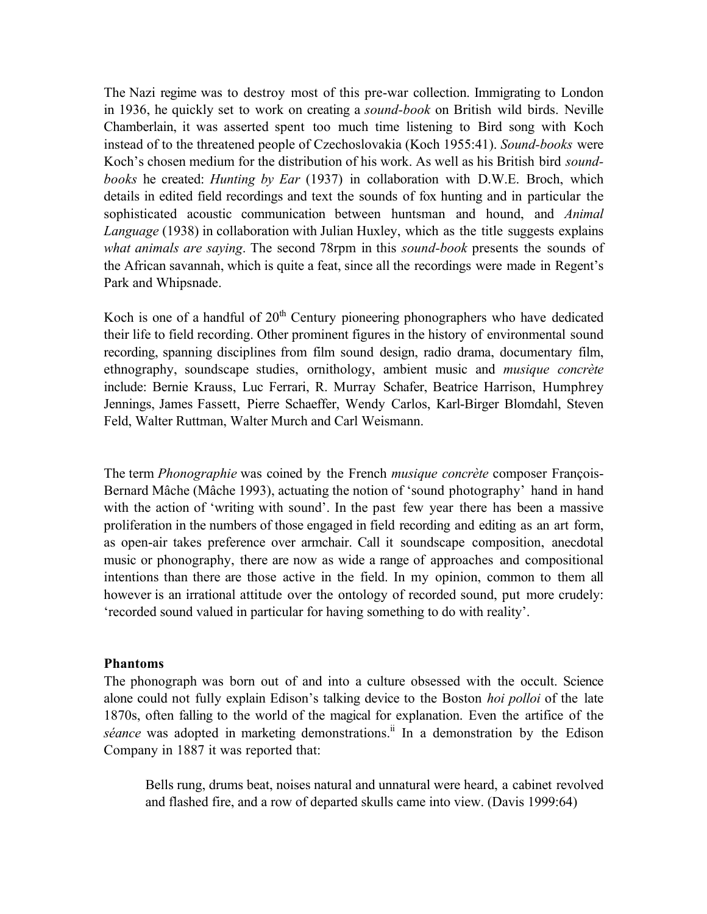The Nazi regime was to destroy most of this pre-war collection. Immigrating to London in 1936, he quickly set to work on creating a *sound-book* on British wild birds. Neville Chamberlain, it was asserted spent too much time listening to Bird song with Koch instead of to the threatened people of Czechoslovakia (Koch 1955:41). *Sound-books* were Koch's chosen medium for the distribution of his work. As well as his British bird *soundbooks* he created: *Hunting by Ear* (1937) in collaboration with D.W.E. Broch, which details in edited field recordings and text the sounds of fox hunting and in particular the sophisticated acoustic communication between huntsman and hound, and *Animal Language* (1938) in collaboration with Julian Huxley, which as the title suggests explains *what animals are saying*. The second 78rpm in this *sound-book* presents the sounds of the African savannah, which is quite a feat, since all the recordings were made in Regent's Park and Whipsnade.

Koch is one of a handful of  $20<sup>th</sup>$  Century pioneering phonographers who have dedicated their life to field recording. Other prominent figures in the history of environmental sound recording, spanning disciplines from film sound design, radio drama, documentary film, ethnography, soundscape studies, ornithology, ambient music and *musique concrète* include: Bernie Krauss, Luc Ferrari, R. Murray Schafer, Beatrice Harrison, Humphrey Jennings, James Fassett, Pierre Schaeffer, Wendy Carlos, Karl-Birger Blomdahl, Steven Feld, Walter Ruttman, Walter Murch and Carl Weismann.

The term *Phonographie* was coined by the French *musique concrète* composer François-Bernard Mâche (Mâche 1993), actuating the notion of 'sound photography' hand in hand with the action of 'writing with sound'. In the past few year there has been a massive proliferation in the numbers of those engaged in field recording and editing as an art form, as open-air takes preference over armchair. Call it soundscape composition, anecdotal music or phonography, there are now as wide a range of approaches and compositional intentions than there are those active in the field. In my opinion, common to them all however is an irrational attitude over the ontology of recorded sound, put more crudely: 'recorded sound valued in particular for having something to do with reality'.

### **Phantoms**

The phonograph was born out of and into a culture obsessed with the occult. Science alone could not fully explain Edison's talking device to the Boston *hoi polloi* of the late 1870s, often falling to the world of the magical for explanation. Even the artifice of the séance was adopted in marketing demonstrations.<sup>ii</sup> In a demonstration by the Edison Company in 1887 it was reported that:

Bells rung, drums beat, noises natural and unnatural were heard, a cabinet revolved and flashed fire, and a row of departed skulls came into view. (Davis 1999:64)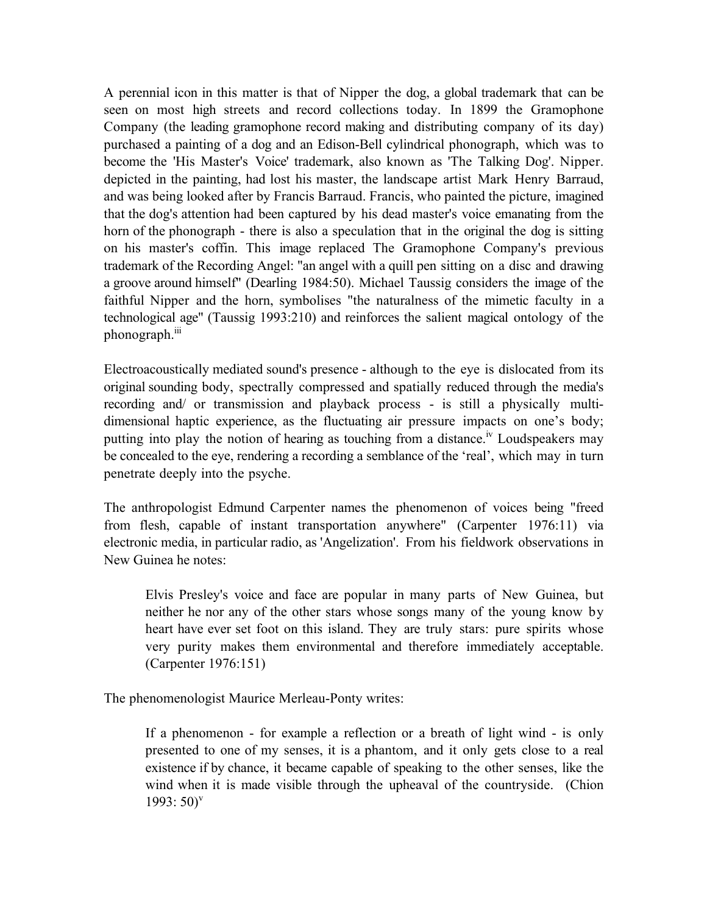A perennial icon in this matter is that of Nipper the dog, a global trademark that can be seen on most high streets and record collections today. In 1899 the Gramophone Company (the leading gramophone record making and distributing company of its day) purchased a painting of a dog and an Edison-Bell cylindrical phonograph, which was to become the 'His Master's Voice' trademark, also known as 'The Talking Dog'. Nipper. depicted in the painting, had lost his master, the landscape artist Mark Henry Barraud, and was being looked after by Francis Barraud. Francis, who painted the picture, imagined that the dog's attention had been captured by his dead master's voice emanating from the horn of the phonograph - there is also a speculation that in the original the dog is sitting on his master's coffin. This image replaced The Gramophone Company's previous trademark of the Recording Angel: "an angel with a quill pen sitting on a disc and drawing a groove around himself" (Dearling 1984:50). Michael Taussig considers the image of the faithful Nipper and the horn, symbolises "the naturalness of the mimetic faculty in a technological age" (Taussig 1993:210) and reinforces the salient magical ontology of the phonograph.<sup>iii</sup>

Electroacoustically mediated sound's presence - although to the eye is dislocated from its original sounding body, spectrally compressed and spatially reduced through the media's recording and/ or transmission and playback process - is still a physically multidimensional haptic experience, as the fluctuating air pressure impacts on one's body; putting into play the notion of hearing as touching from a distance.<sup>iv</sup> Loudspeakers may be concealed to the eye, rendering a recording a semblance of the 'real', which may in turn penetrate deeply into the psyche.

The anthropologist Edmund Carpenter names the phenomenon of voices being "freed from flesh, capable of instant transportation anywhere" (Carpenter 1976:11) via electronic media, in particular radio, as 'Angelization'. From his fieldwork observations in New Guinea he notes:

Elvis Presley's voice and face are popular in many parts of New Guinea, but neither he nor any of the other stars whose songs many of the young know by heart have ever set foot on this island. They are truly stars: pure spirits whose very purity makes them environmental and therefore immediately acceptable. (Carpenter 1976:151)

The phenomenologist Maurice Merleau-Ponty writes:

If a phenomenon - for example a reflection or a breath of light wind - is only presented to one of my senses, it is a phantom, and it only gets close to a real existence if by chance, it became capable of speaking to the other senses, like the wind when it is made visible through the upheaval of the countryside. (Chion  $1993:50$ <sup>v</sup>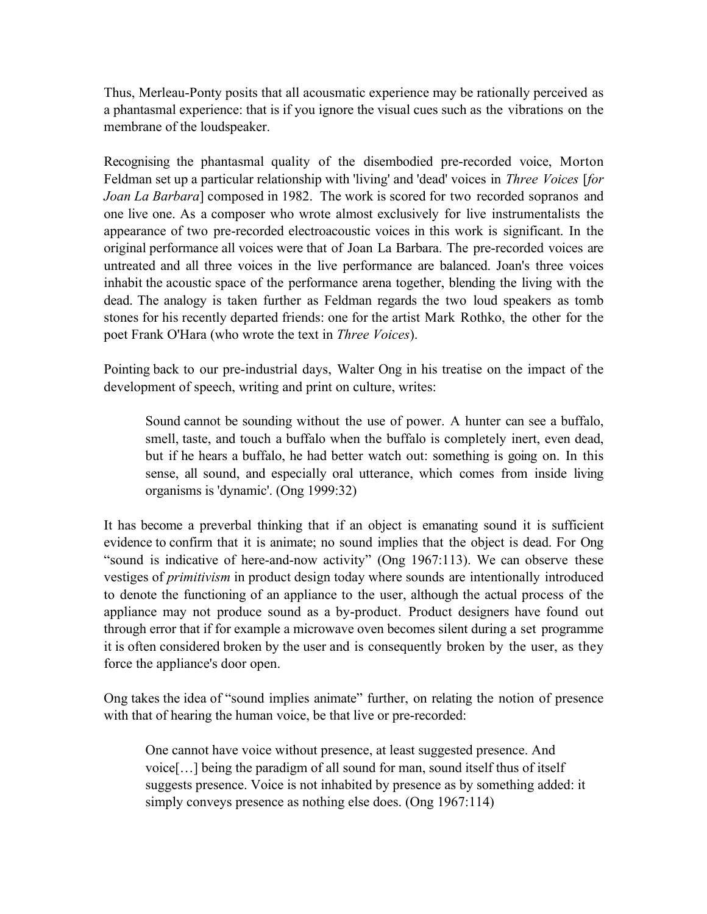Thus, Merleau-Ponty posits that all acousmatic experience may be rationally perceived as a phantasmal experience: that is if you ignore the visual cues such as the vibrations on the membrane of the loudspeaker.

Recognising the phantasmal quality of the disembodied pre-recorded voice, Morton Feldman set up a particular relationship with 'living' and 'dead' voices in *Three Voices* [*for Joan La Barbara*] composed in 1982. The work is scored for two recorded sopranos and one live one. As a composer who wrote almost exclusively for live instrumentalists the appearance of two pre-recorded electroacoustic voices in this work is significant. In the original performance all voices were that of Joan La Barbara. The pre-recorded voices are untreated and all three voices in the live performance are balanced. Joan's three voices inhabit the acoustic space of the performance arena together, blending the living with the dead. The analogy is taken further as Feldman regards the two loud speakers as tomb stones for his recently departed friends: one for the artist Mark Rothko, the other for the poet Frank O'Hara (who wrote the text in *Three Voices*).

Pointing back to our pre-industrial days, Walter Ong in his treatise on the impact of the development of speech, writing and print on culture, writes:

Sound cannot be sounding without the use of power. A hunter can see a buffalo, smell, taste, and touch a buffalo when the buffalo is completely inert, even dead, but if he hears a buffalo, he had better watch out: something is going on. In this sense, all sound, and especially oral utterance, which comes from inside living organisms is 'dynamic'. (Ong 1999:32)

It has become a preverbal thinking that if an object is emanating sound it is sufficient evidence to confirm that it is animate; no sound implies that the object is dead. For Ong "sound is indicative of here-and-now activity" (Ong 1967:113). We can observe these vestiges of *primitivism* in product design today where sounds are intentionally introduced to denote the functioning of an appliance to the user, although the actual process of the appliance may not produce sound as a by-product. Product designers have found out through error that if for example a microwave oven becomes silent during a set programme it is often considered broken by the user and is consequently broken by the user, as they force the appliance's door open.

Ong takes the idea of "sound implies animate" further, on relating the notion of presence with that of hearing the human voice, be that live or pre-recorded:

One cannot have voice without presence, at least suggested presence. And voice[…] being the paradigm of all sound for man, sound itself thus of itself suggests presence. Voice is not inhabited by presence as by something added: it simply conveys presence as nothing else does. (Ong 1967:114)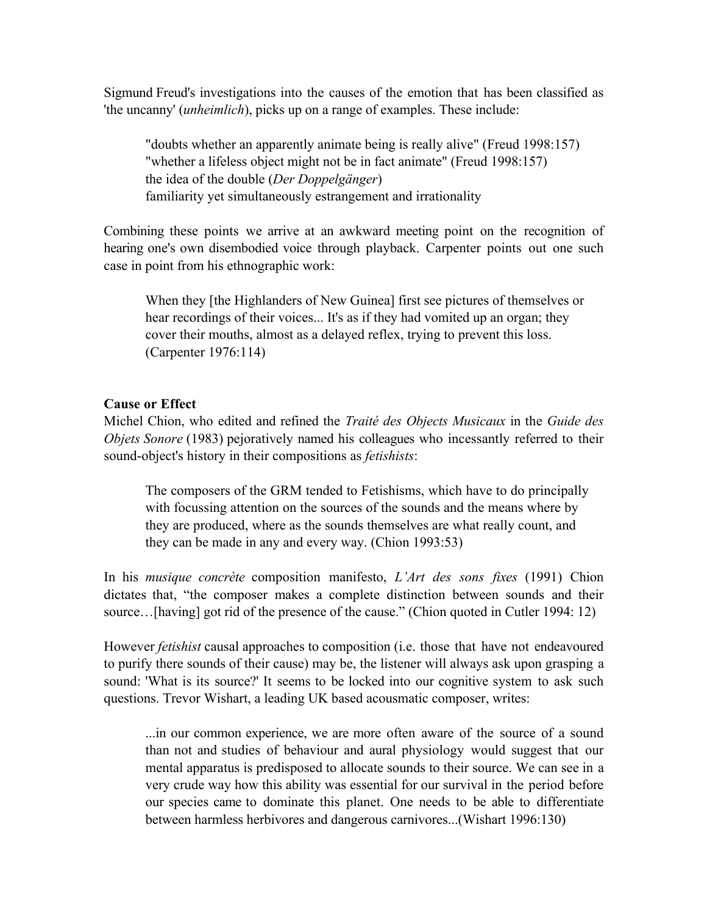Sigmund Freud's investigations into the causes of the emotion that has been classified as 'the uncanny' (*unheimlich*), picks up on a range of examples. These include:

"doubts whether an apparently animate being is really alive" (Freud 1998:157) "whether a lifeless object might not be in fact animate" (Freud 1998:157) the idea of the double (*Der Doppelgänger*) familiarity yet simultaneously estrangement and irrationality

Combining these points we arrive at an awkward meeting point on the recognition of hearing one's own disembodied voice through playback. Carpenter points out one such case in point from his ethnographic work:

When they [the Highlanders of New Guinea] first see pictures of themselves or hear recordings of their voices... It's as if they had vomited up an organ; they cover their mouths, almost as a delayed reflex, trying to prevent this loss. (Carpenter 1976:114)

## **Cause or Effect**

Michel Chion, who edited and refined the *Traité des Objects Musicaux* in the *Guide des Objets Sonore* (1983) pejoratively named his colleagues who incessantly referred to their sound-object's history in their compositions as *fetishists*:

The composers of the GRM tended to Fetishisms, which have to do principally with focussing attention on the sources of the sounds and the means where by they are produced, where as the sounds themselves are what really count, and they can be made in any and every way. (Chion 1993:53)

In his *musique concrète* composition manifesto, *L'Art des sons fixes* (1991) Chion dictates that, "the composer makes a complete distinction between sounds and their source...[having] got rid of the presence of the cause." (Chion quoted in Cutler 1994: 12)

However *fetishist* causal approaches to composition (i.e. those that have not endeavoured to purify there sounds of their cause) may be, the listener will always ask upon grasping a sound: 'What is its source?' It seems to be locked into our cognitive system to ask such questions. Trevor Wishart, a leading UK based acousmatic composer, writes:

...in our common experience, we are more often aware of the source of a sound than not and studies of behaviour and aural physiology would suggest that our mental apparatus is predisposed to allocate sounds to their source. We can see in a very crude way how this ability was essential for our survival in the period before our species came to dominate this planet. One needs to be able to differentiate between harmless herbivores and dangerous carnivores...(Wishart 1996:130)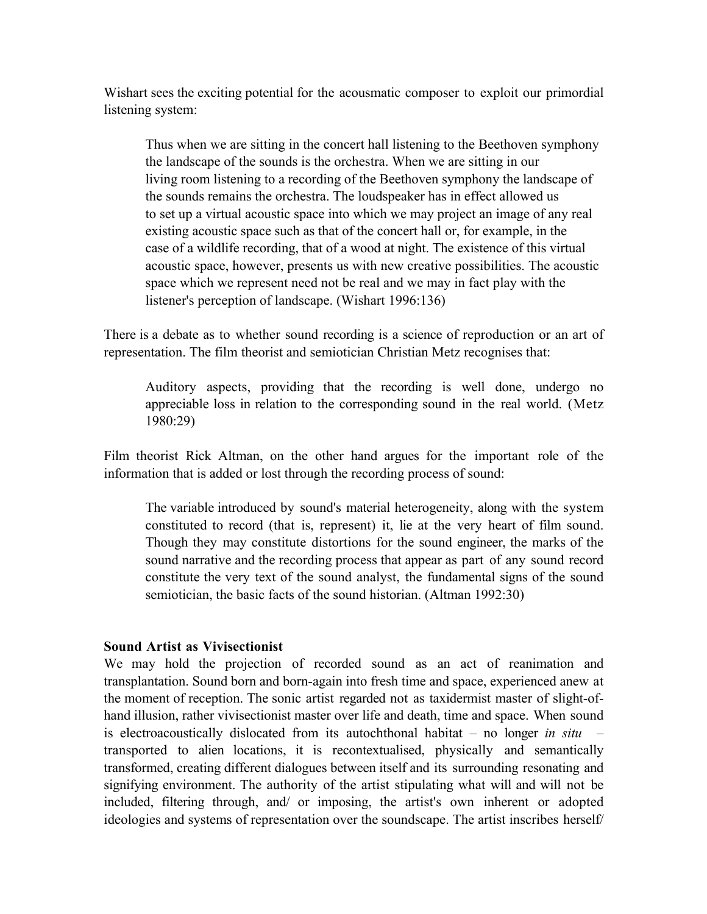Wishart sees the exciting potential for the acousmatic composer to exploit our primordial listening system:

Thus when we are sitting in the concert hall listening to the Beethoven symphony the landscape of the sounds is the orchestra. When we are sitting in our living room listening to a recording of the Beethoven symphony the landscape of the sounds remains the orchestra. The loudspeaker has in effect allowed us to set up a virtual acoustic space into which we may project an image of any real existing acoustic space such as that of the concert hall or, for example, in the case of a wildlife recording, that of a wood at night. The existence of this virtual acoustic space, however, presents us with new creative possibilities. The acoustic space which we represent need not be real and we may in fact play with the listener's perception of landscape. (Wishart 1996:136)

There is a debate as to whether sound recording is a science of reproduction or an art of representation. The film theorist and semiotician Christian Metz recognises that:

Auditory aspects, providing that the recording is well done, undergo no appreciable loss in relation to the corresponding sound in the real world. (Metz 1980:29)

Film theorist Rick Altman, on the other hand argues for the important role of the information that is added or lost through the recording process of sound:

The variable introduced by sound's material heterogeneity, along with the system constituted to record (that is, represent) it, lie at the very heart of film sound. Though they may constitute distortions for the sound engineer, the marks of the sound narrative and the recording process that appear as part of any sound record constitute the very text of the sound analyst, the fundamental signs of the sound semiotician, the basic facts of the sound historian. (Altman 1992:30)

### **Sound Artist as Vivisectionist**

We may hold the projection of recorded sound as an act of reanimation and transplantation. Sound born and born-again into fresh time and space, experienced anew at the moment of reception. The sonic artist regarded not as taxidermist master of slight-ofhand illusion, rather vivisectionist master over life and death, time and space. When sound is electroacoustically dislocated from its autochthonal habitat – no longer *in situ* – transported to alien locations, it is recontextualised, physically and semantically transformed, creating different dialogues between itself and its surrounding resonating and signifying environment. The authority of the artist stipulating what will and will not be included, filtering through, and/ or imposing, the artist's own inherent or adopted ideologies and systems of representation over the soundscape. The artist inscribes herself/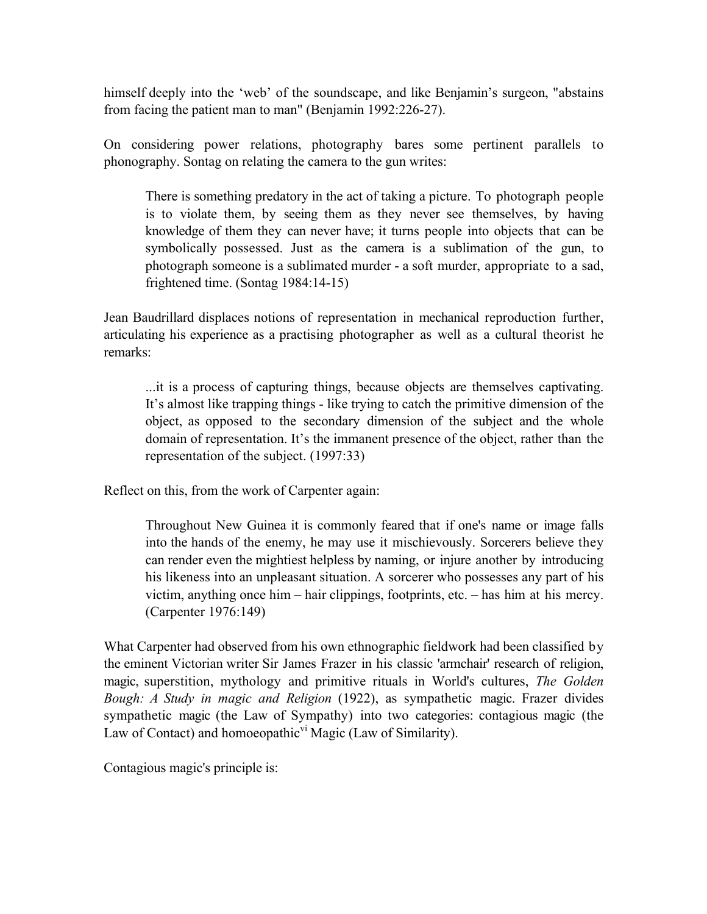himself deeply into the 'web' of the soundscape, and like Benjamin's surgeon, "abstains from facing the patient man to man" (Benjamin 1992:226-27).

On considering power relations, photography bares some pertinent parallels to phonography. Sontag on relating the camera to the gun writes:

There is something predatory in the act of taking a picture. To photograph people is to violate them, by seeing them as they never see themselves, by having knowledge of them they can never have; it turns people into objects that can be symbolically possessed. Just as the camera is a sublimation of the gun, to photograph someone is a sublimated murder - a soft murder, appropriate to a sad, frightened time. (Sontag 1984:14-15)

Jean Baudrillard displaces notions of representation in mechanical reproduction further, articulating his experience as a practising photographer as well as a cultural theorist he remarks:

...it is a process of capturing things, because objects are themselves captivating. It's almost like trapping things - like trying to catch the primitive dimension of the object, as opposed to the secondary dimension of the subject and the whole domain of representation. It's the immanent presence of the object, rather than the representation of the subject. (1997:33)

Reflect on this, from the work of Carpenter again:

Throughout New Guinea it is commonly feared that if one's name or image falls into the hands of the enemy, he may use it mischievously. Sorcerers believe they can render even the mightiest helpless by naming, or injure another by introducing his likeness into an unpleasant situation. A sorcerer who possesses any part of his victim, anything once him – hair clippings, footprints, etc. – has him at his mercy. (Carpenter 1976:149)

What Carpenter had observed from his own ethnographic fieldwork had been classified by the eminent Victorian writer Sir James Frazer in his classic 'armchair' research of religion, magic, superstition, mythology and primitive rituals in World's cultures, *The Golden Bough: A Study in magic and Religion* (1922), as sympathetic magic. Frazer divides sympathetic magic (the Law of Sympathy) into two categories: contagious magic (the Law of Contact) and homoeopathic<sup>vi</sup> Magic (Law of Similarity).

Contagious magic's principle is: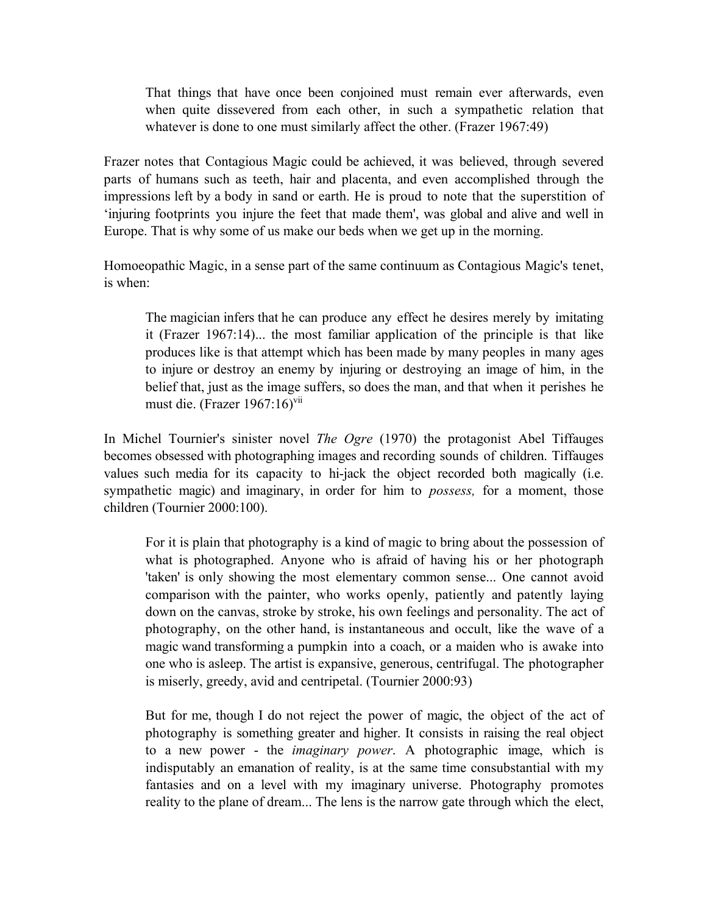That things that have once been conjoined must remain ever afterwards, even when quite dissevered from each other, in such a sympathetic relation that whatever is done to one must similarly affect the other. (Frazer 1967:49)

Frazer notes that Contagious Magic could be achieved, it was believed, through severed parts of humans such as teeth, hair and placenta, and even accomplished through the impressions left by a body in sand or earth. He is proud to note that the superstition of 'injuring footprints you injure the feet that made them', was global and alive and well in Europe. That is why some of us make our beds when we get up in the morning.

Homoeopathic Magic, in a sense part of the same continuum as Contagious Magic's tenet, is when:

The magician infers that he can produce any effect he desires merely by imitating it (Frazer 1967:14)... the most familiar application of the principle is that like produces like is that attempt which has been made by many peoples in many ages to injure or destroy an enemy by injuring or destroying an image of him, in the belief that, just as the image suffers, so does the man, and that when it perishes he must die. (Frazer 1967:16)<sup>vii</sup>

In Michel Tournier's sinister novel *The Ogre* (1970) the protagonist Abel Tiffauges becomes obsessed with photographing images and recording sounds of children. Tiffauges values such media for its capacity to hi-jack the object recorded both magically (i.e. sympathetic magic) and imaginary, in order for him to *possess,* for a moment, those children (Tournier 2000:100).

For it is plain that photography is a kind of magic to bring about the possession of what is photographed. Anyone who is afraid of having his or her photograph 'taken' is only showing the most elementary common sense... One cannot avoid comparison with the painter, who works openly, patiently and patently laying down on the canvas, stroke by stroke, his own feelings and personality. The act of photography, on the other hand, is instantaneous and occult, like the wave of a magic wand transforming a pumpkin into a coach, or a maiden who is awake into one who is asleep. The artist is expansive, generous, centrifugal. The photographer is miserly, greedy, avid and centripetal. (Tournier 2000:93)

But for me, though I do not reject the power of magic, the object of the act of photography is something greater and higher. It consists in raising the real object to a new power - the *imaginary power*. A photographic image, which is indisputably an emanation of reality, is at the same time consubstantial with my fantasies and on a level with my imaginary universe. Photography promotes reality to the plane of dream... The lens is the narrow gate through which the elect,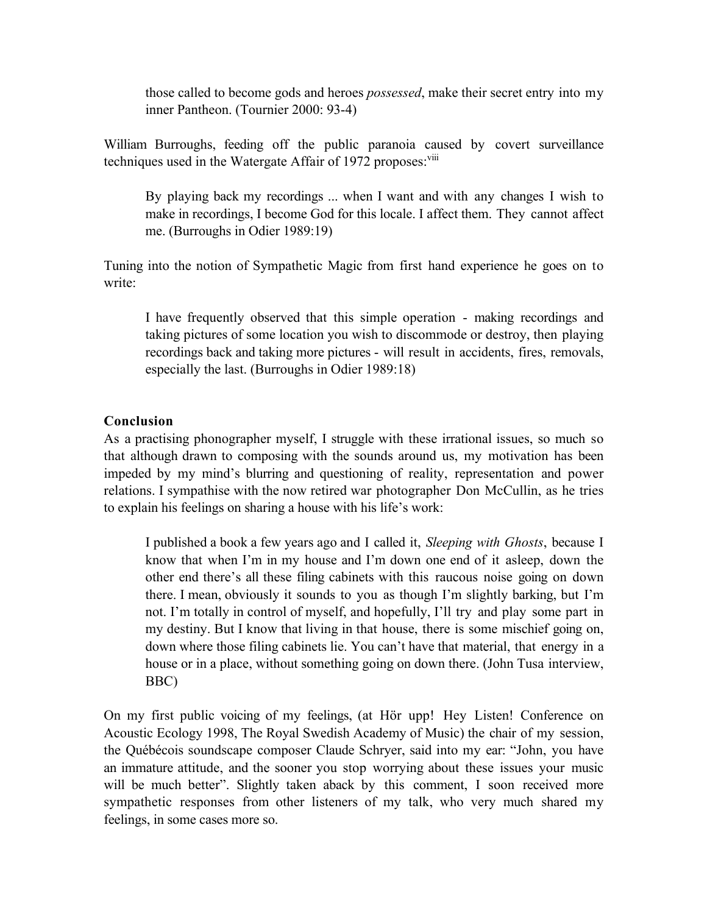those called to become gods and heroes *possessed*, make their secret entry into my inner Pantheon. (Tournier 2000: 93-4)

William Burroughs, feeding off the public paranoia caused by covert surveillance techniques used in the Watergate Affair of 1972 proposes:<sup>viii</sup>

By playing back my recordings ... when I want and with any changes I wish to make in recordings, I become God for this locale. I affect them. They cannot affect me. (Burroughs in Odier 1989:19)

Tuning into the notion of Sympathetic Magic from first hand experience he goes on to write:

I have frequently observed that this simple operation - making recordings and taking pictures of some location you wish to discommode or destroy, then playing recordings back and taking more pictures - will result in accidents, fires, removals, especially the last. (Burroughs in Odier 1989:18)

## **Conclusion**

As a practising phonographer myself, I struggle with these irrational issues, so much so that although drawn to composing with the sounds around us, my motivation has been impeded by my mind's blurring and questioning of reality, representation and power relations. I sympathise with the now retired war photographer Don McCullin, as he tries to explain his feelings on sharing a house with his life's work:

I published a book a few years ago and I called it, *Sleeping with Ghosts*, because I know that when I'm in my house and I'm down one end of it asleep, down the other end there's all these filing cabinets with this raucous noise going on down there. I mean, obviously it sounds to you as though I'm slightly barking, but I'm not. I'm totally in control of myself, and hopefully, I'll try and play some part in my destiny. But I know that living in that house, there is some mischief going on, down where those filing cabinets lie. You can't have that material, that energy in a house or in a place, without something going on down there. (John Tusa interview, BBC)

On my first public voicing of my feelings, (at Hör upp! Hey Listen! Conference on Acoustic Ecology 1998, The Royal Swedish Academy of Music) the chair of my session, the Québécois soundscape composer Claude Schryer, said into my ear: "John, you have an immature attitude, and the sooner you stop worrying about these issues your music will be much better". Slightly taken aback by this comment, I soon received more sympathetic responses from other listeners of my talk, who very much shared my feelings, in some cases more so.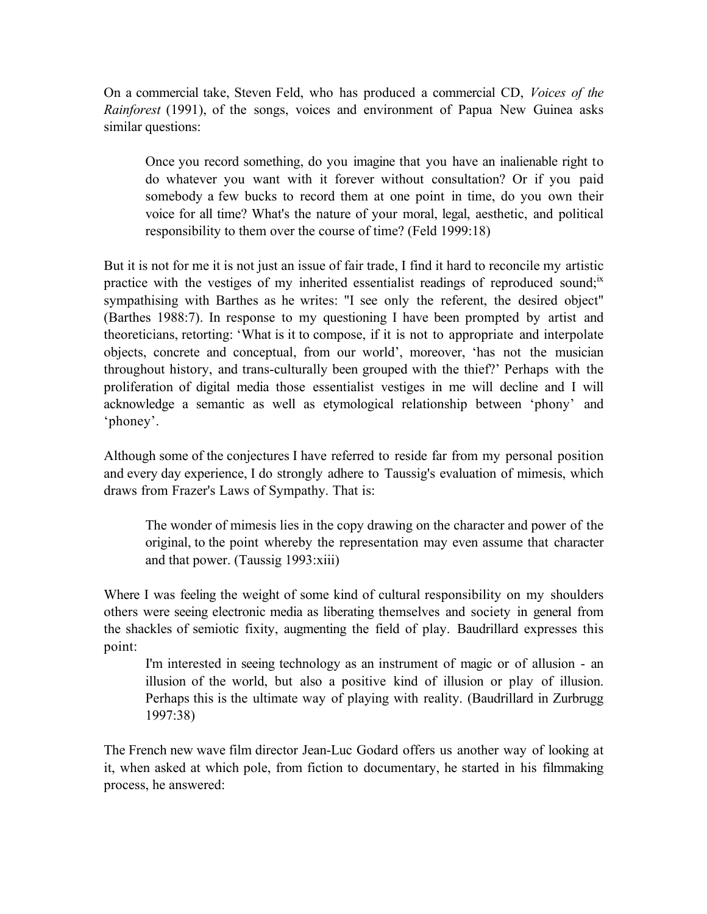On a commercial take, Steven Feld, who has produced a commercial CD, *Voices of the Rainforest* (1991), of the songs, voices and environment of Papua New Guinea asks similar questions:

Once you record something, do you imagine that you have an inalienable right to do whatever you want with it forever without consultation? Or if you paid somebody a few bucks to record them at one point in time, do you own their voice for all time? What's the nature of your moral, legal, aesthetic, and political responsibility to them over the course of time? (Feld 1999:18)

But it is not for me it is not just an issue of fair trade, I find it hard to reconcile my artistic practice with the vestiges of my inherited essentialist readings of reproduced sound;<sup>ix</sup> sympathising with Barthes as he writes: "I see only the referent, the desired object" (Barthes 1988:7). In response to my questioning I have been prompted by artist and theoreticians, retorting: 'What is it to compose, if it is not to appropriate and interpolate objects, concrete and conceptual, from our world', moreover, 'has not the musician throughout history, and trans-culturally been grouped with the thief?' Perhaps with the proliferation of digital media those essentialist vestiges in me will decline and I will acknowledge a semantic as well as etymological relationship between 'phony' and 'phoney'.

Although some of the conjectures I have referred to reside far from my personal position and every day experience, I do strongly adhere to Taussig's evaluation of mimesis, which draws from Frazer's Laws of Sympathy. That is:

The wonder of mimesis lies in the copy drawing on the character and power of the original, to the point whereby the representation may even assume that character and that power. (Taussig 1993:xiii)

Where I was feeling the weight of some kind of cultural responsibility on my shoulders others were seeing electronic media as liberating themselves and society in general from the shackles of semiotic fixity, augmenting the field of play. Baudrillard expresses this point:

I'm interested in seeing technology as an instrument of magic or of allusion - an illusion of the world, but also a positive kind of illusion or play of illusion. Perhaps this is the ultimate way of playing with reality. (Baudrillard in Zurbrugg 1997:38)

The French new wave film director Jean-Luc Godard offers us another way of looking at it, when asked at which pole, from fiction to documentary, he started in his filmmaking process, he answered: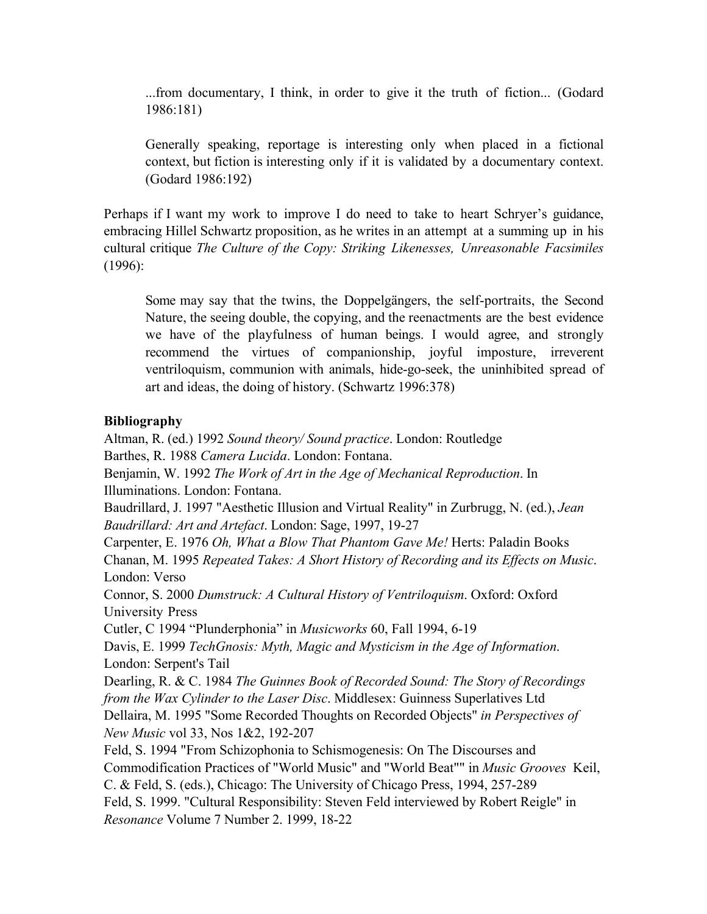...from documentary, I think, in order to give it the truth of fiction... (Godard 1986:181)

Generally speaking, reportage is interesting only when placed in a fictional context, but fiction is interesting only if it is validated by a documentary context. (Godard 1986:192)

Perhaps if I want my work to improve I do need to take to heart Schryer's guidance, embracing Hillel Schwartz proposition, as he writes in an attempt at a summing up in his cultural critique *The Culture of the Copy: Striking Likenesses, Unreasonable Facsimiles* (1996):

Some may say that the twins, the Doppelgängers, the self-portraits, the Second Nature, the seeing double, the copying, and the reenactments are the best evidence we have of the playfulness of human beings. I would agree, and strongly recommend the virtues of companionship, joyful imposture, irreverent ventriloquism, communion with animals, hide-go-seek, the uninhibited spread of art and ideas, the doing of history. (Schwartz 1996:378)

## **Bibliography**

Altman, R. (ed.) 1992 *Sound theory/ Sound practice*. London: Routledge Barthes, R. 1988 *Camera Lucida*. London: Fontana. Benjamin, W. 1992 *The Work of Art in the Age of Mechanical Reproduction*. In Illuminations. London: Fontana. Baudrillard, J. 1997 "Aesthetic Illusion and Virtual Reality" in Zurbrugg, N. (ed.), *Jean Baudrillard: Art and Artefact*. London: Sage, 1997, 19-27 Carpenter, E. 1976 *Oh, What a Blow That Phantom Gave Me!* Herts: Paladin Books Chanan, M. 1995 *Repeated Takes: A Short History of Recording and its Effects on Music*. London: Verso Connor, S. 2000 *Dumstruck: A Cultural History of Ventriloquism*. Oxford: Oxford University Press Cutler, C 1994 "Plunderphonia" in *Musicworks* 60, Fall 1994, 6-19 Davis, E. 1999 *TechGnosis: Myth, Magic and Mysticism in the Age of Information*. London: Serpent's Tail Dearling, R. & C. 1984 *The Guinnes Book of Recorded Sound: The Story of Recordings from the Wax Cylinder to the Laser Disc*. Middlesex: Guinness Superlatives Ltd Dellaira, M. 1995 "Some Recorded Thoughts on Recorded Objects" *in Perspectives of New Music* vol 33, Nos 1&2, 192-207 Feld, S. 1994 "From Schizophonia to Schismogenesis: On The Discourses and Commodification Practices of "World Music" and "World Beat"" in *Music Grooves* Keil, C. & Feld, S. (eds.), Chicago: The University of Chicago Press, 1994, 257-289 Feld, S. 1999. "Cultural Responsibility: Steven Feld interviewed by Robert Reigle" in *Resonance* Volume 7 Number 2. 1999, 18-22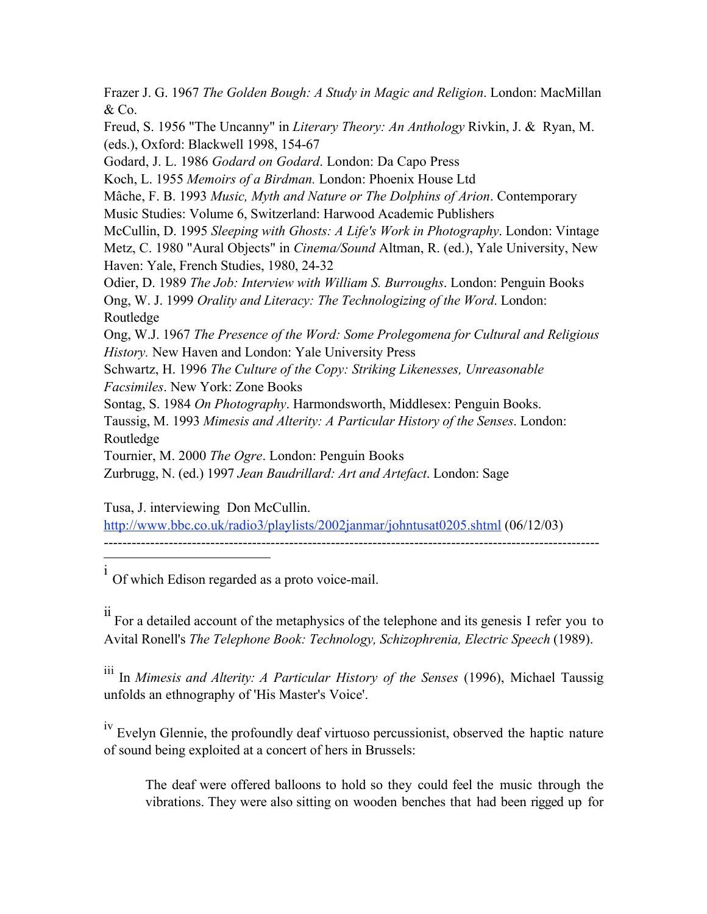Frazer J. G. 1967 *The Golden Bough: A Study in Magic and Religion*. London: MacMillan & Co. Freud, S. 1956 "The Uncanny" in *Literary Theory: An Anthology* Rivkin, J. & Ryan, M. (eds.), Oxford: Blackwell 1998, 154-67 Godard, J. L. 1986 *Godard on Godard*. London: Da Capo Press Koch, L. 1955 *Memoirs of a Birdman.* London: Phoenix House Ltd Mâche, F. B. 1993 *Music, Myth and Nature or The Dolphins of Arion*. Contemporary Music Studies: Volume 6, Switzerland: Harwood Academic Publishers McCullin, D. 1995 *Sleeping with Ghosts: A Life's Work in Photography*. London: Vintage Metz, C. 1980 "Aural Objects" in *Cinema/Sound* Altman, R. (ed.), Yale University, New Haven: Yale, French Studies, 1980, 24-32 Odier, D. 1989 *The Job: Interview with William S. Burroughs*. London: Penguin Books Ong, W. J. 1999 *Orality and Literacy: The Technologizing of the Word*. London: Routledge Ong, W.J. 1967 *The Presence of the Word: Some Prolegomena for Cultural and Religious History.* New Haven and London: Yale University Press Schwartz, H. 1996 *The Culture of the Copy: Striking Likenesses, Unreasonable Facsimiles*. New York: Zone Books Sontag, S. 1984 *On Photography*. Harmondsworth, Middlesex: Penguin Books. Taussig, M. 1993 *Mimesis and Alterity: A Particular History of the Senses*. London: Routledge Tournier, M. 2000 *The Ogre*. London: Penguin Books Zurbrugg, N. (ed.) 1997 *Jean Baudrillard: Art and Artefact*. London: Sage

Tusa, J. interviewing Don McCullin.

http://www.bbc.co.uk/radio3/playlists/2002janmar/johntusat0205.shtml (06/12/03)

-----------------------------------------------------------------------------------------------------------  $\overline{a}$ 

i Of which Edison regarded as a proto voice-mail.

ii For a detailed account of the metaphysics of the telephone and its genesis I refer you to Avital Ronell's *The Telephone Book: Technology, Schizophrenia, Electric Speech* (1989).

iii In *Mimesis and Alterity: <sup>A</sup> Particular History of the Senses* (1996), Michael Taussig unfolds an ethnography of 'His Master's Voice'.

<sup>Iv</sup> Evelyn Glennie, the profoundly deaf virtuoso percussionist, observed the haptic nature of sound being exploited at a concert of hers in Brussels:

The deaf were offered balloons to hold so they could feel the music through the vibrations. They were also sitting on wooden benches that had been rigged up for